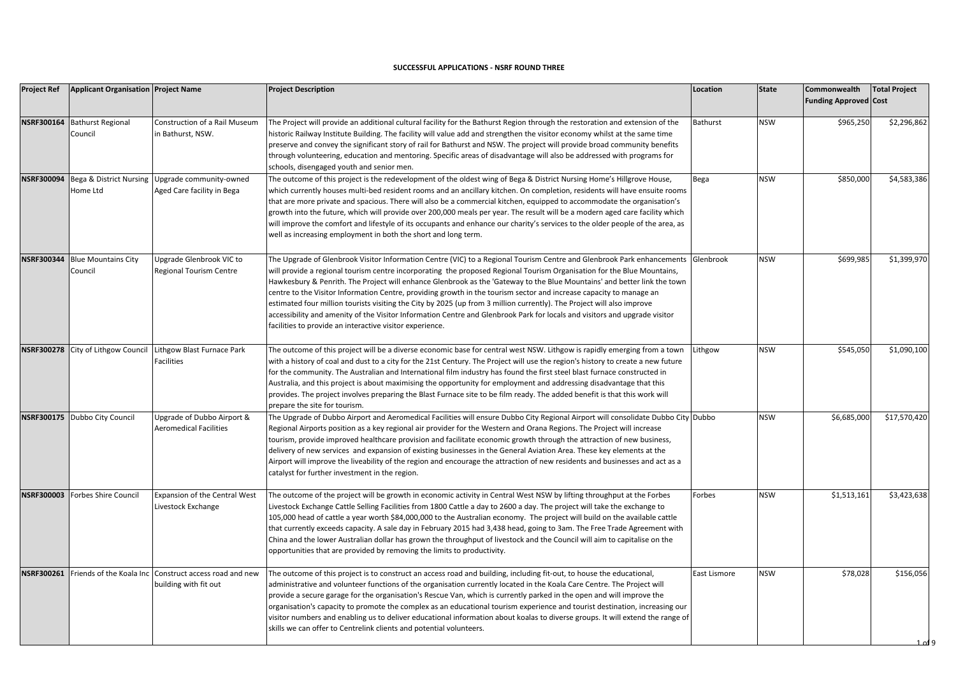## **SUCCESSFUL APPLICATIONS - NSRF ROUND THREE**

| <b>Project Ref</b> | <b>Applicant Organisation Project Name</b> |                                                                                          | <b>Project Description</b>                                                                                                                                                                                                                                                                                                                                                                                                                                                                                                                                                                                                                                                                                                                                                                                                         | Location     | <b>State</b> | Commonwealth<br><b>Funding Approved Cost</b> | <b>Total Project</b> |
|--------------------|--------------------------------------------|------------------------------------------------------------------------------------------|------------------------------------------------------------------------------------------------------------------------------------------------------------------------------------------------------------------------------------------------------------------------------------------------------------------------------------------------------------------------------------------------------------------------------------------------------------------------------------------------------------------------------------------------------------------------------------------------------------------------------------------------------------------------------------------------------------------------------------------------------------------------------------------------------------------------------------|--------------|--------------|----------------------------------------------|----------------------|
| <b>NSRF300164</b>  | <b>Bathurst Regional</b><br>Council        | Construction of a Rail Museum<br>in Bathurst, NSW.                                       | The Project will provide an additional cultural facility for the Bathurst Region through the restoration and extension of the<br>historic Railway Institute Building. The facility will value add and strengthen the visitor economy whilst at the same time<br>preserve and convey the significant story of rail for Bathurst and NSW. The project will provide broad community benefits<br>through volunteering, education and mentoring. Specific areas of disadvantage will also be addressed with programs for<br>schools, disengaged youth and senior men.                                                                                                                                                                                                                                                                   | Bathurst     | <b>NSW</b>   | \$965,250                                    | \$2,296,862          |
|                    | Home Ltd                                   | NSRF300094 Bega & District Nursing Upgrade community-owned<br>Aged Care facility in Bega | The outcome of this project is the redevelopment of the oldest wing of Bega & District Nursing Home's Hillgrove House,<br>which currently houses multi-bed resident rooms and an ancillary kitchen. On completion, residents will have ensuite rooms<br>that are more private and spacious. There will also be a commercial kitchen, equipped to accommodate the organisation's<br>growth into the future, which will provide over 200,000 meals per year. The result will be a modern aged care facility which<br>will improve the comfort and lifestyle of its occupants and enhance our charity's services to the older people of the area, as<br>well as increasing employment in both the short and long term.                                                                                                                | Bega         | <b>NSW</b>   | \$850,000                                    | \$4,583,386          |
| <b>NSRF300344</b>  | <b>Blue Mountains City</b><br>Council      | Upgrade Glenbrook VIC to<br>Regional Tourism Centre                                      | The Upgrade of Glenbrook Visitor Information Centre (VIC) to a Regional Tourism Centre and Glenbrook Park enhancements Glenbrook<br>will provide a regional tourism centre incorporating the proposed Regional Tourism Organisation for the Blue Mountains,<br>Hawkesbury & Penrith. The Project will enhance Glenbrook as the 'Gateway to the Blue Mountains' and better link the town<br>centre to the Visitor Information Centre, providing growth in the tourism sector and increase capacity to manage an<br>estimated four million tourists visiting the City by 2025 (up from 3 million currently). The Project will also improve<br>accessibility and amenity of the Visitor Information Centre and Glenbrook Park for locals and visitors and upgrade visitor<br>facilities to provide an interactive visitor experience. |              | <b>NSW</b>   | \$699,985                                    | \$1,399,970          |
|                    | NSRF300278 City of Lithgow Counci          | Lithgow Blast Furnace Park<br><b>Facilities</b>                                          | The outcome of this project will be a diverse economic base for central west NSW. Lithgow is rapidly emerging from a town<br>with a history of coal and dust to a city for the 21st Century. The Project will use the region's history to create a new future<br>for the community. The Australian and International film industry has found the first steel blast furnace constructed in<br>Australia, and this project is about maximising the opportunity for employment and addressing disadvantage that this<br>provides. The project involves preparing the Blast Furnace site to be film ready. The added benefit is that this work will<br>prepare the site for tourism.                                                                                                                                                   | Lithgow      | <b>NSW</b>   | \$545,050                                    | \$1,090,100          |
|                    | NSRF300175 Dubbo City Council              | Upgrade of Dubbo Airport &<br><b>Aeromedical Facilities</b>                              | The Upgrade of Dubbo Airport and Aeromedical Facilities will ensure Dubbo City Regional Airport will consolidate Dubbo City Dubbo<br>Regional Airports position as a key regional air provider for the Western and Orana Regions. The Project will increase<br>tourism, provide improved healthcare provision and facilitate economic growth through the attraction of new business,<br>delivery of new services and expansion of existing businesses in the General Aviation Area. These key elements at the<br>Airport will improve the liveability of the region and encourage the attraction of new residents and businesses and act as a<br>catalyst for further investment in the region.                                                                                                                                    |              | <b>NSW</b>   | \$6,685,000                                  | \$17,570,420         |
| <b>NSRF300003</b>  | Forbes Shire Council                       | Expansion of the Central West<br>Livestock Exchange                                      | The outcome of the project will be growth in economic activity in Central West NSW by lifting throughput at the Forbes<br>Livestock Exchange Cattle Selling Facilities from 1800 Cattle a day to 2600 a day. The project will take the exchange to<br>105,000 head of cattle a year worth \$84,000,000 to the Australian economy. The project will build on the available cattle<br>that currently exceeds capacity. A sale day in February 2015 had 3,438 head, going to 3am. The Free Trade Agreement with<br>China and the lower Australian dollar has grown the throughput of livestock and the Council will aim to capitalise on the<br>opportunities that are provided by removing the limits to productivity.                                                                                                               | Forbes       | <b>NSW</b>   | \$1,513,161                                  | \$3,423,638          |
| <b>NSRF300261</b>  |                                            | Friends of the Koala Inc Construct access road and new<br>building with fit out          | The outcome of this project is to construct an access road and building, including fit-out, to house the educational,<br>administrative and volunteer functions of the organisation currently located in the Koala Care Centre. The Project will<br>provide a secure garage for the organisation's Rescue Van, which is currently parked in the open and will improve the<br>organisation's capacity to promote the complex as an educational tourism experience and tourist destination, increasing our<br>visitor numbers and enabling us to deliver educational information about koalas to diverse groups. It will extend the range of<br>skills we can offer to Centrelink clients and potential volunteers.                                                                                                                  | East Lismore | <b>NSW</b>   | \$78,028                                     | \$156,056            |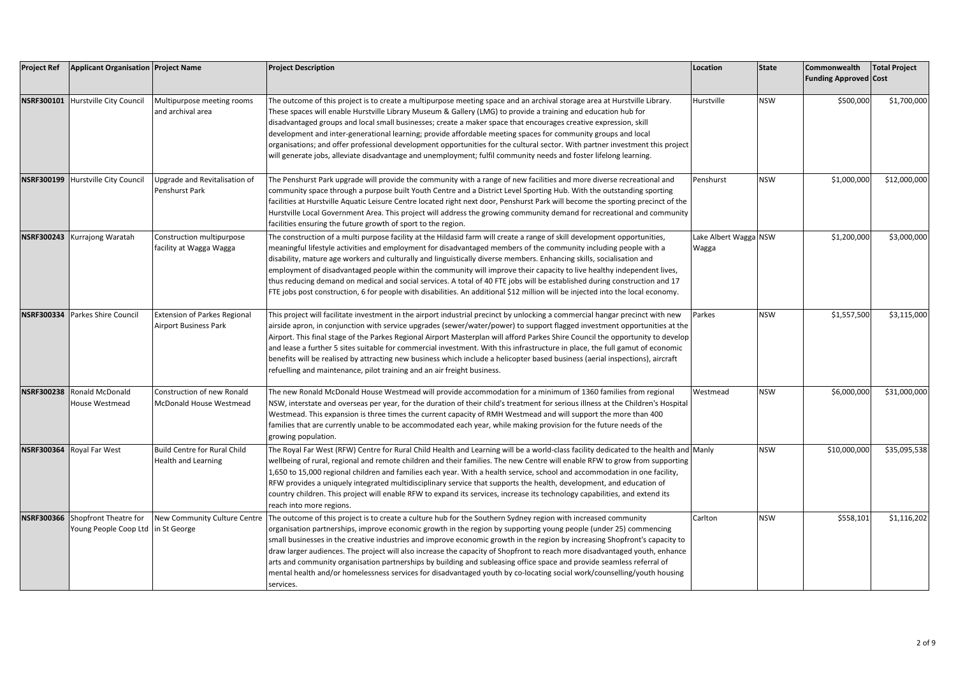| <b>Project Ref</b> | <b>Applicant Organisation Project Name</b>                |                                                                     | <b>Project Description</b>                                                                                                                                                                                                                                                                                                                                                                                                                                                                                                                                                                                                                                                                                                                                         | Location                       | <b>State</b> | Commonwealth<br><b>Funding Approved Cost</b> | <b>Total Project</b> |
|--------------------|-----------------------------------------------------------|---------------------------------------------------------------------|--------------------------------------------------------------------------------------------------------------------------------------------------------------------------------------------------------------------------------------------------------------------------------------------------------------------------------------------------------------------------------------------------------------------------------------------------------------------------------------------------------------------------------------------------------------------------------------------------------------------------------------------------------------------------------------------------------------------------------------------------------------------|--------------------------------|--------------|----------------------------------------------|----------------------|
|                    | NSRF300101 Hurstville City Council                        | Multipurpose meeting rooms<br>and archival area                     | The outcome of this project is to create a multipurpose meeting space and an archival storage area at Hurstville Library.<br>These spaces will enable Hurstville Library Museum & Gallery (LMG) to provide a training and education hub for<br>disadvantaged groups and local small businesses; create a maker space that encourages creative expression, skill<br>development and inter-generational learning; provide affordable meeting spaces for community groups and local<br>organisations; and offer professional development opportunities for the cultural sector. With partner investment this project<br>will generate jobs, alleviate disadvantage and unemployment; fulfil community needs and foster lifelong learning.                             | Hurstville                     | <b>NSW</b>   | \$500,000                                    | \$1,700,000          |
| <b>NSRF300199</b>  | Hurstville City Council                                   | Upgrade and Revitalisation of<br>Penshurst Park                     | The Penshurst Park upgrade will provide the community with a range of new facilities and more diverse recreational and<br>community space through a purpose built Youth Centre and a District Level Sporting Hub. With the outstanding sporting<br>facilities at Hurstville Aquatic Leisure Centre located right next door, Penshurst Park will become the sporting precinct of the<br>Hurstville Local Government Area. This project will address the growing community demand for recreational and community<br>facilities ensuring the future growth of sport to the region.                                                                                                                                                                                    | Penshurst                      | <b>NSW</b>   | \$1,000,000                                  | \$12,000,000         |
| <b>NSRF300243</b>  | Kurrajong Waratah                                         | Construction multipurpose<br>facility at Wagga Wagga                | The construction of a multi purpose facility at the Hildasid farm will create a range of skill development opportunities,<br>meaningful lifestyle activities and employment for disadvantaged members of the community including people with a<br>disability, mature age workers and culturally and linguistically diverse members. Enhancing skills, socialisation and<br>employment of disadvantaged people within the community will improve their capacity to live healthy independent lives,<br>thus reducing demand on medical and social services. A total of 40 FTE jobs will be established during construction and 17<br>FTE jobs post construction, 6 for people with disabilities. An additional \$12 million will be injected into the local economy. | Lake Albert Wagga NSW<br>Wagga |              | \$1,200,000                                  | \$3,000,000          |
| <b>NSRF300334</b>  | Parkes Shire Council                                      | <b>Extension of Parkes Regional</b><br><b>Airport Business Park</b> | This project will facilitate investment in the airport industrial precinct by unlocking a commercial hangar precinct with new<br>airside apron, in conjunction with service upgrades (sewer/water/power) to support flagged investment opportunities at the<br>Airport. This final stage of the Parkes Regional Airport Masterplan will afford Parkes Shire Council the opportunity to develop<br>and lease a further 5 sites suitable for commercial investment. With this infrastructure in place, the full gamut of economic<br>benefits will be realised by attracting new business which include a helicopter based business (aerial inspections), aircraft<br>refuelling and maintenance, pilot training and an air freight business.                        | Parkes                         | <b>NSW</b>   | \$1,557,500                                  | \$3,115,000          |
| <b>NSRF300238</b>  | Ronald McDonald<br>House Westmead                         | Construction of new Ronald<br>McDonald House Westmead               | The new Ronald McDonald House Westmead will provide accommodation for a minimum of 1360 families from regional<br>NSW, interstate and overseas per year, for the duration of their child's treatment for serious illness at the Children's Hospital<br>Westmead. This expansion is three times the current capacity of RMH Westmead and will support the more than 400<br>families that are currently unable to be accommodated each year, while making provision for the future needs of the<br>growing population.                                                                                                                                                                                                                                               | Westmead                       | <b>NSW</b>   | \$6,000,000                                  | \$31,000,000         |
|                    | NSRF300364 Royal Far West                                 | <b>Build Centre for Rural Child</b><br><b>Health and Learning</b>   | The Royal Far West (RFW) Centre for Rural Child Health and Learning will be a world-class facility dedicated to the health and Manly<br>wellbeing of rural, regional and remote children and their families. The new Centre will enable RFW to grow from supporting<br>L,650 to 15,000 regional children and families each year. With a health service, school and accommodation in one facility,<br>RFW provides a uniquely integrated multidisciplinary service that supports the health, development, and education of<br>country children. This project will enable RFW to expand its services, increase its technology capabilities, and extend its<br>reach into more regions.                                                                               |                                | <b>NSW</b>   | \$10,000,000                                 | \$35,095,538         |
|                    | NSRF300366 Shopfront Theatre for<br>Young People Coop Ltd | New Community Culture Centre<br>n St George                         | The outcome of this project is to create a culture hub for the Southern Sydney region with increased community<br>organisation partnerships, improve economic growth in the region by supporting young people (under 25) commencing<br>small businesses in the creative industries and improve economic growth in the region by increasing Shopfront's capacity to<br>draw larger audiences. The project will also increase the capacity of Shopfront to reach more disadvantaged youth, enhance<br>arts and community organisation partnerships by building and subleasing office space and provide seamless referral of<br>mental health and/or homelessness services for disadvantaged youth by co-locating social work/counselling/youth housing<br>services.  | Carlton                        | <b>NSW</b>   | \$558,101                                    | \$1,116,202          |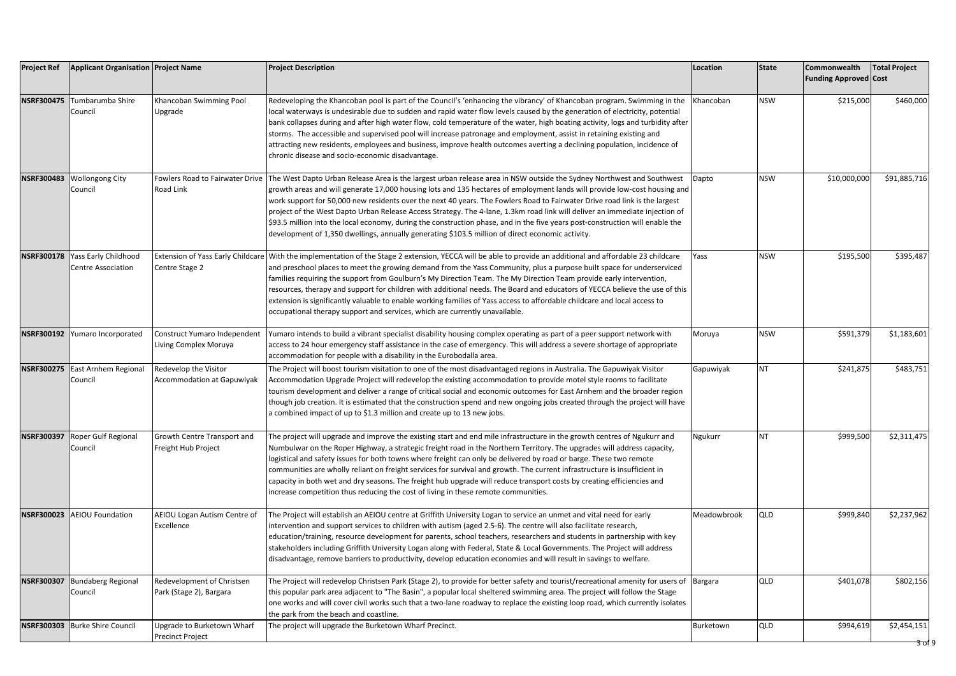| <b>Project Ref</b> | <b>Applicant Organisation Project Name</b>                   |                                                            | <b>Project Description</b>                                                                                                                                                                                                                                                                                                                                                                                                                                                                                                                                                                                                                                                                                                                           | Location    | <b>State</b> | Commonwealth<br><b>Funding Approved Cost</b> | <b>Total Project</b>            |
|--------------------|--------------------------------------------------------------|------------------------------------------------------------|------------------------------------------------------------------------------------------------------------------------------------------------------------------------------------------------------------------------------------------------------------------------------------------------------------------------------------------------------------------------------------------------------------------------------------------------------------------------------------------------------------------------------------------------------------------------------------------------------------------------------------------------------------------------------------------------------------------------------------------------------|-------------|--------------|----------------------------------------------|---------------------------------|
| <b>NSRF300475</b>  | Tumbarumba Shire<br>Council                                  | Khancoban Swimming Pool<br>Upgrade                         | Redeveloping the Khancoban pool is part of the Council's 'enhancing the vibrancy' of Khancoban program. Swimming in the<br>local waterways is undesirable due to sudden and rapid water flow levels caused by the generation of electricity, potential<br>bank collapses during and after high water flow, cold temperature of the water, high boating activity, logs and turbidity after<br>storms. The accessible and supervised pool will increase patronage and employment, assist in retaining existing and<br>attracting new residents, employees and business, improve health outcomes averting a declining population, incidence of<br>chronic disease and socio-economic disadvantage.                                                      | Khancoban   | <b>NSW</b>   | \$215,000                                    | \$460,000                       |
|                    | NSRF300483 Wollongong City<br>Council                        | Fowlers Road to Fairwater Drive<br>Road Link               | The West Dapto Urban Release Area is the largest urban release area in NSW outside the Sydney Northwest and Southwest<br>growth areas and will generate 17,000 housing lots and 135 hectares of employment lands will provide low-cost housing and<br>work support for 50,000 new residents over the next 40 years. The Fowlers Road to Fairwater Drive road link is the largest<br>project of the West Dapto Urban Release Access Strategy. The 4-lane, 1.3km road link will deliver an immediate injection of<br>\$93.5 million into the local economy, during the construction phase, and in the five years post-construction will enable the<br>development of 1,350 dwellings, annually generating \$103.5 million of direct economic activity. | Dapto       | <b>NSW</b>   | \$10,000,000                                 | \$91,885,716                    |
|                    | NSRF300178 Yass Early Childhood<br><b>Centre Association</b> | <b>Extension of Yass Early Childcare</b><br>Centre Stage 2 | With the implementation of the Stage 2 extension, YECCA will be able to provide an additional and affordable 23 childcare<br>and preschool places to meet the growing demand from the Yass Community, plus a purpose built space for underserviced<br>families requiring the support from Goulburn's My Direction Team. The My Direction Team provide early intervention,<br>resources, therapy and support for children with additional needs. The Board and educators of YECCA believe the use of this<br>extension is significantly valuable to enable working families of Yass access to affordable childcare and local access to<br>occupational therapy support and services, which are currently unavailable.                                 | Yass        | <b>NSW</b>   | \$195,500                                    | \$395,487                       |
|                    | NSRF300192 Yumaro Incorporated                               | Construct Yumaro Independent<br>Living Complex Moruya      | Yumaro intends to build a vibrant specialist disability housing complex operating as part of a peer support network with<br>access to 24 hour emergency staff assistance in the case of emergency. This will address a severe shortage of appropriate<br>accommodation for people with a disability in the Eurobodalla area.                                                                                                                                                                                                                                                                                                                                                                                                                         | Moruya      | <b>NSW</b>   | \$591,379                                    | \$1,183,601                     |
| <b>NSRF300275</b>  | East Arnhem Regional<br>Council                              | Redevelop the Visitor<br><b>Accommodation at Gapuwiyak</b> | The Project will boost tourism visitation to one of the most disadvantaged regions in Australia. The Gapuwiyak Visitor<br>Accommodation Upgrade Project will redevelop the existing accommodation to provide motel style rooms to facilitate<br>tourism development and deliver a range of critical social and economic outcomes for East Arnhem and the broader region<br>though job creation. It is estimated that the construction spend and new ongoing jobs created through the project will have<br>a combined impact of up to \$1.3 million and create up to 13 new jobs.                                                                                                                                                                     | Gapuwiyak   | <b>NT</b>    | \$241,875                                    | \$483,751                       |
| <b>NSRF300397</b>  | Roper Gulf Regional<br>Council                               | Growth Centre Transport and<br>Freight Hub Project         | The project will upgrade and improve the existing start and end mile infrastructure in the growth centres of Ngukurr and<br>Numbulwar on the Roper Highway, a strategic freight road in the Northern Territory. The upgrades will address capacity,<br>logistical and safety issues for both towns where freight can only be delivered by road or barge. These two remote<br>communities are wholly reliant on freight services for survival and growth. The current infrastructure is insufficient in<br>capacity in both wet and dry seasons. The freight hub upgrade will reduce transport costs by creating efficiencies and<br>increase competition thus reducing the cost of living in these remote communities.                               | Ngukurr     | NT           | \$999,500                                    | \$2,311,475                     |
|                    | NSRF300023 AEIOU Foundation                                  | AEIOU Logan Autism Centre of<br>Excellence                 | The Project will establish an AEIOU centre at Griffith University Logan to service an unmet and vital need for early<br>intervention and support services to children with autism (aged 2.5-6). The centre will also facilitate research,<br>education/training, resource development for parents, school teachers, researchers and students in partnership with key<br>stakeholders including Griffith University Logan along with Federal, State & Local Governments. The Project will address<br>disadvantage, remove barriers to productivity, develop education economies and will result in savings to welfare.                                                                                                                                | Meadowbrook | QLD          | \$999,840                                    | \$2,237,962                     |
| <b>NSRF300307</b>  | <b>Bundaberg Regional</b><br>Council                         | Redevelopment of Christsen<br>Park (Stage 2), Bargara      | The Project will redevelop Christsen Park (Stage 2), to provide for better safety and tourist/recreational amenity for users of<br>this popular park area adjacent to "The Basin", a popular local sheltered swimming area. The project will follow the Stage<br>one works and will cover civil works such that a two-lane roadway to replace the existing loop road, which currently isolates<br>the park from the beach and coastline.                                                                                                                                                                                                                                                                                                             | Bargara     | QLD          | \$401,078                                    | \$802,156                       |
|                    | NSRF300303 Burke Shire Council                               | Upgrade to Burketown Wharf<br>Precinct Project             | The project will upgrade the Burketown Wharf Precinct.                                                                                                                                                                                                                                                                                                                                                                                                                                                                                                                                                                                                                                                                                               | Burketown   | QLD          | \$994,619                                    | \$2,454,151<br><u>ਤੋ ਹ</u> ਾਂ 9 |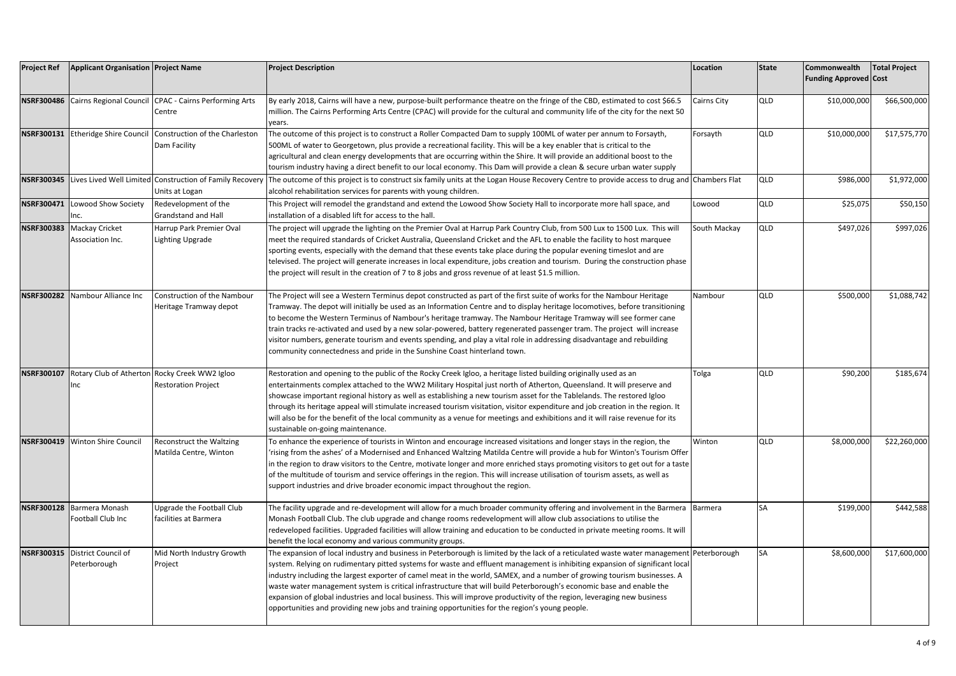| <b>Project Ref</b> | <b>Applicant Organisation Project Name</b>                      |                                                                                                 | <b>Project Description</b>                                                                                                                                                                                                                                                                                                                                                                                                                                                                                                                                                                                                                                                                                                                    | Location     | <b>State</b> | Commonwealth<br><b>Funding Approved Cost</b> | <b>Total Project</b> |
|--------------------|-----------------------------------------------------------------|-------------------------------------------------------------------------------------------------|-----------------------------------------------------------------------------------------------------------------------------------------------------------------------------------------------------------------------------------------------------------------------------------------------------------------------------------------------------------------------------------------------------------------------------------------------------------------------------------------------------------------------------------------------------------------------------------------------------------------------------------------------------------------------------------------------------------------------------------------------|--------------|--------------|----------------------------------------------|----------------------|
|                    | NSRF300486 Cairns Regional Council                              | <b>CPAC - Cairns Performing Arts</b><br>Centre                                                  | By early 2018, Cairns will have a new, purpose-built performance theatre on the fringe of the CBD, estimated to cost \$66.5<br>million. The Cairns Performing Arts Centre (CPAC) will provide for the cultural and community life of the city for the next 50<br>years.                                                                                                                                                                                                                                                                                                                                                                                                                                                                       | Cairns City  | QLD          | \$10,000,000                                 | \$66,500,000         |
|                    |                                                                 | <b>NSRF300131</b> Etheridge Shire Council Construction of the Charleston<br><b>Dam Facility</b> | The outcome of this project is to construct a Roller Compacted Dam to supply 100ML of water per annum to Forsayth,<br>500ML of water to Georgetown, plus provide a recreational facility. This will be a key enabler that is critical to the<br>agricultural and clean energy developments that are occurring within the Shire. It will provide an additional boost to the<br>tourism industry having a direct benefit to our local economy. This Dam will provide a clean & secure urban water supply                                                                                                                                                                                                                                        | Forsayth     | QLD          | \$10,000,000                                 | \$17,575,770         |
|                    |                                                                 | NSRF300345 Lives Lived Well Limited Construction of Family Recovery<br>Units at Logan           | The outcome of this project is to construct six family units at the Logan House Recovery Centre to provide access to drug and Chambers Flat<br>alcohol rehabilitation services for parents with young children.                                                                                                                                                                                                                                                                                                                                                                                                                                                                                                                               |              | QLD          | \$986,000                                    | \$1,972,000          |
|                    | NSRF300471 Lowood Show Society<br>Inc.                          | Redevelopment of the<br><b>Grandstand and Hall</b>                                              | This Project will remodel the grandstand and extend the Lowood Show Society Hall to incorporate more hall space, and<br>installation of a disabled lift for access to the hall.                                                                                                                                                                                                                                                                                                                                                                                                                                                                                                                                                               | Lowood       | QLD          | \$25,075                                     | \$50,150             |
|                    | NSRF300383 Mackay Cricket<br>Association Inc.                   | Harrup Park Premier Oval<br><b>Lighting Upgrade</b>                                             | The project will upgrade the lighting on the Premier Oval at Harrup Park Country Club, from 500 Lux to 1500 Lux. This will<br>meet the required standards of Cricket Australia, Queensland Cricket and the AFL to enable the facility to host marquee<br>sporting events, especially with the demand that these events take place during the popular evening timeslot and are<br>televised. The project will generate increases in local expenditure, jobs creation and tourism. During the construction phase<br>the project will result in the creation of 7 to 8 jobs and gross revenue of at least \$1.5 million.                                                                                                                         | South Mackay | QLD          | \$497,026                                    | \$997,026            |
|                    | NSRF300282 Nambour Alliance Inc                                 | Construction of the Nambour<br>Heritage Tramway depot                                           | The Project will see a Western Terminus depot constructed as part of the first suite of works for the Nambour Heritage<br>Tramway. The depot will initially be used as an Information Centre and to display heritage locomotives, before transitioning<br>to become the Western Terminus of Nambour's heritage tramway. The Nambour Heritage Tramway will see former cane<br>train tracks re-activated and used by a new solar-powered, battery regenerated passenger tram. The project will increase<br>visitor numbers, generate tourism and events spending, and play a vital role in addressing disadvantage and rebuilding<br>community connectedness and pride in the Sunshine Coast hinterland town.                                   | Nambour      | QLD          | \$500,000                                    | \$1,088,742          |
|                    | NSRF300107 Rotary Club of Atherton Rocky Creek WW2 Igloo<br>Inc | <b>Restoration Project</b>                                                                      | Restoration and opening to the public of the Rocky Creek Igloo, a heritage listed building originally used as an<br>entertainments complex attached to the WW2 Military Hospital just north of Atherton, Queensland. It will preserve and<br>showcase important regional history as well as establishing a new tourism asset for the Tablelands. The restored Igloo<br>through its heritage appeal will stimulate increased tourism visitation, visitor expenditure and job creation in the region. It<br>will also be for the benefit of the local community as a venue for meetings and exhibitions and it will raise revenue for its<br>sustainable on-going maintenance.                                                                  | Tolga        | <b>QLD</b>   | \$90,200                                     | \$185,674            |
|                    | NSRF300419 Winton Shire Council                                 | Reconstruct the Waltzing<br>Matilda Centre, Winton                                              | To enhance the experience of tourists in Winton and encourage increased visitations and longer stays in the region, the<br>'rising from the ashes' of a Modernised and Enhanced Waltzing Matilda Centre will provide a hub for Winton's Tourism Offer<br>in the region to draw visitors to the Centre, motivate longer and more enriched stays promoting visitors to get out for a taste<br>of the multitude of tourism and service offerings in the region. This will increase utilisation of tourism assets, as well as<br>support industries and drive broader economic impact throughout the region.                                                                                                                                      | Winton       | <b>QLD</b>   | \$8,000,000                                  | \$22,260,000         |
|                    | NSRF300128 Barmera Monash<br><b>Football Club Inc</b>           | Upgrade the Football Club<br>facilities at Barmera                                              | The facility upgrade and re-development will allow for a much broader community offering and involvement in the Barmera<br>Monash Football Club. The club upgrade and change rooms redevelopment will allow club associations to utilise the<br>redeveloped facilities. Upgraded facilities will allow training and education to be conducted in private meeting rooms. It will<br>benefit the local economy and various community groups.                                                                                                                                                                                                                                                                                                    | Barmera      | SA           | \$199,000                                    | \$442,588            |
|                    | NSRF300315 District Council of<br>Peterborough                  | Mid North Industry Growth<br>Project                                                            | The expansion of local industry and business in Peterborough is limited by the lack of a reticulated waste water management<br>system. Relying on rudimentary pitted systems for waste and effluent management is inhibiting expansion of significant local<br>industry including the largest exporter of camel meat in the world, SAMEX, and a number of growing tourism businesses. A<br>waste water management system is critical infrastructure that will build Peterborough's economic base and enable the<br>expansion of global industries and local business. This will improve productivity of the region, leveraging new business<br>opportunities and providing new jobs and training opportunities for the region's young people. | Peterborough | SA           | \$8,600,000                                  | \$17,600,000         |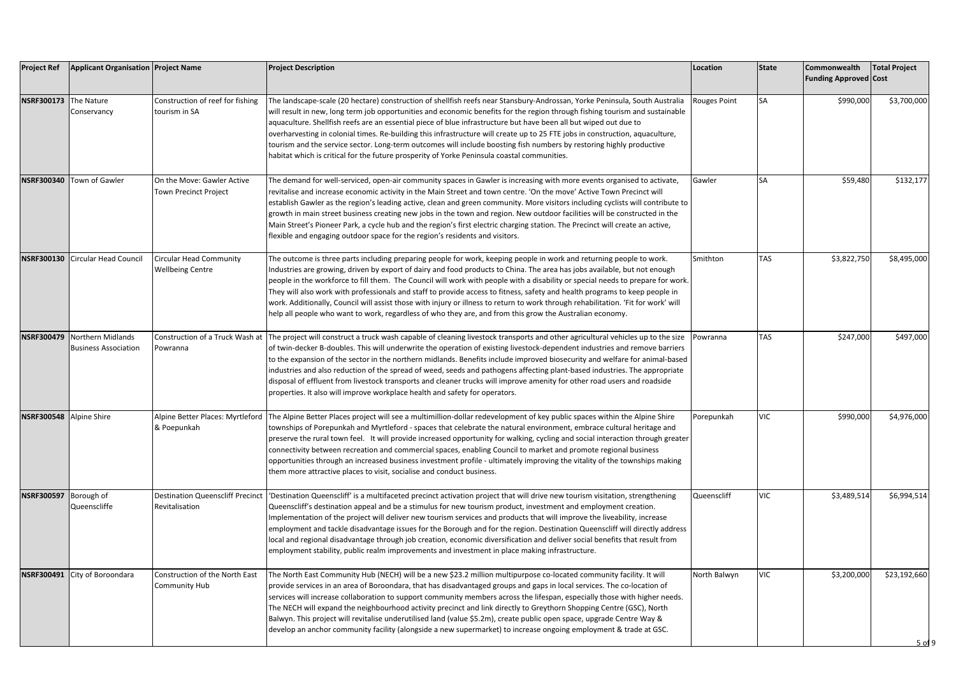| <b>Project Ref</b>      | <b>Applicant Organisation Project Name</b>                  |                                                            | <b>Project Description</b>                                                                                                                                                                                                                                                                                                                                                                                                                                                                                                                                                                                                                                                                                                                                            | Location            | <b>State</b> | Commonwealth<br><b>Funding Approved Cost</b> | <b>Total Project</b>                          |
|-------------------------|-------------------------------------------------------------|------------------------------------------------------------|-----------------------------------------------------------------------------------------------------------------------------------------------------------------------------------------------------------------------------------------------------------------------------------------------------------------------------------------------------------------------------------------------------------------------------------------------------------------------------------------------------------------------------------------------------------------------------------------------------------------------------------------------------------------------------------------------------------------------------------------------------------------------|---------------------|--------------|----------------------------------------------|-----------------------------------------------|
| NSRF300173 The Nature   | Conservancy                                                 | Construction of reef for fishing<br>tourism in SA          | The landscape-scale (20 hectare) construction of shellfish reefs near Stansbury-Androssan, Yorke Peninsula, South Australia<br>will result in new, long term job opportunities and economic benefits for the region through fishing tourism and sustainable<br>aquaculture. Shellfish reefs are an essential piece of blue infrastructure but have been all but wiped out due to<br>overharvesting in colonial times. Re-building this infrastructure will create up to 25 FTE jobs in construction, aquaculture,<br>tourism and the service sector. Long-term outcomes will include boosting fish numbers by restoring highly productive<br>habitat which is critical for the future prosperity of Yorke Peninsula coastal communities.                              | <b>Rouges Point</b> | SА           | \$990,000                                    | \$3,700,000                                   |
|                         | NSRF300340 Town of Gawler                                   | On the Move: Gawler Active<br><b>Town Precinct Project</b> | The demand for well-serviced, open-air community spaces in Gawler is increasing with more events organised to activate,<br>revitalise and increase economic activity in the Main Street and town centre. 'On the move' Active Town Precinct will<br>establish Gawler as the region's leading active, clean and green community. More visitors including cyclists will contribute to<br>growth in main street business creating new jobs in the town and region. New outdoor facilities will be constructed in the<br>Main Street's Pioneer Park, a cycle hub and the region's first electric charging station. The Precinct will create an active,<br>flexible and engaging outdoor space for the region's residents and visitors.                                    | Gawler              | SA           | \$59,480                                     | \$132,177                                     |
|                         | NSRF300130 Circular Head Council                            | <b>Circular Head Community</b><br><b>Wellbeing Centre</b>  | The outcome is three parts including preparing people for work, keeping people in work and returning people to work.<br>Industries are growing, driven by export of dairy and food products to China. The area has jobs available, but not enough<br>people in the workforce to fill them. The Council will work with people with a disability or special needs to prepare for work.<br>They will also work with professionals and staff to provide access to fitness, safety and health programs to keep people in<br>work. Additionally, Council will assist those with injury or illness to return to work through rehabilitation. 'Fit for work' will<br>help all people who want to work, regardless of who they are, and from this grow the Australian economy. | Smithton            | TAS          | \$3,822,750                                  | \$8,495,000                                   |
|                         | NSRF300479 Northern Midlands<br><b>Business Association</b> | Construction of a Truck Wash at<br>Powranna                | The project will construct a truck wash capable of cleaning livestock transports and other agricultural vehicles up to the size<br>of twin-decker B-doubles. This will underwrite the operation of existing livestock-dependent industries and remove barriers<br>to the expansion of the sector in the northern midlands. Benefits include improved biosecurity and welfare for animal-based<br>industries and also reduction of the spread of weed, seeds and pathogens affecting plant-based industries. The appropriate<br>disposal of effluent from livestock transports and cleaner trucks will improve amenity for other road users and roadside<br>properties. It also will improve workplace health and safety for operators.                                | Powranna            | <b>TAS</b>   | \$247,000                                    | \$497,000                                     |
| NSRF300548 Alpine Shire |                                                             | Alpine Better Places: Myrtleford<br>& Poepunkah            | The Alpine Better Places project will see a multimillion-dollar redevelopment of key public spaces within the Alpine Shire<br>townships of Porepunkah and Myrtleford - spaces that celebrate the natural environment, embrace cultural heritage and<br>preserve the rural town feel. It will provide increased opportunity for walking, cycling and social interaction through greater<br>connectivity between recreation and commercial spaces, enabling Council to market and promote regional business<br>opportunities through an increased business investment profile - ultimately improving the vitality of the townships making<br>them more attractive places to visit, socialise and conduct business.                                                      | Porepunkah          | VIC          | \$990,000                                    | \$4,976,000                                   |
| NSRF300597 Borough of   | Queenscliffe                                                | <b>Destination Queenscliff Precinct</b><br>Revitalisation  | 'Destination Queenscliff' is a multifaceted precinct activation project that will drive new tourism visitation, strengthening<br>Queenscliff's destination appeal and be a stimulus for new tourism product, investment and employment creation.<br>Implementation of the project will deliver new tourism services and products that will improve the liveability, increase<br>employment and tackle disadvantage issues for the Borough and for the region. Destination Queenscliff will directly address<br>local and regional disadvantage through job creation, economic diversification and deliver social benefits that result from<br>employment stability, public realm improvements and investment in place making infrastructure.                          | Queenscliff         | VIC          | \$3,489,514                                  | \$6,994,514                                   |
|                         | NSRF300491 City of Boroondara                               | Construction of the North East<br><b>Community Hub</b>     | The North East Community Hub (NECH) will be a new \$23.2 million multipurpose co-located community facility. It will<br>provide services in an area of Boroondara, that has disadvantaged groups and gaps in local services. The co-location of<br>services will increase collaboration to support community members across the lifespan, especially those with higher needs.<br>The NECH will expand the neighbourhood activity precinct and link directly to Greythorn Shopping Centre (GSC), North<br>Balwyn. This project will revitalise underutilised land (value \$5.2m), create public open space, upgrade Centre Way &<br>develop an anchor community facility (alongside a new supermarket) to increase ongoing employment & trade at GSC.                  | North Balwyn        | VIC          | \$3,200,000                                  | \$23,192,660<br>5 <sub>0</sub> f <sub>9</sub> |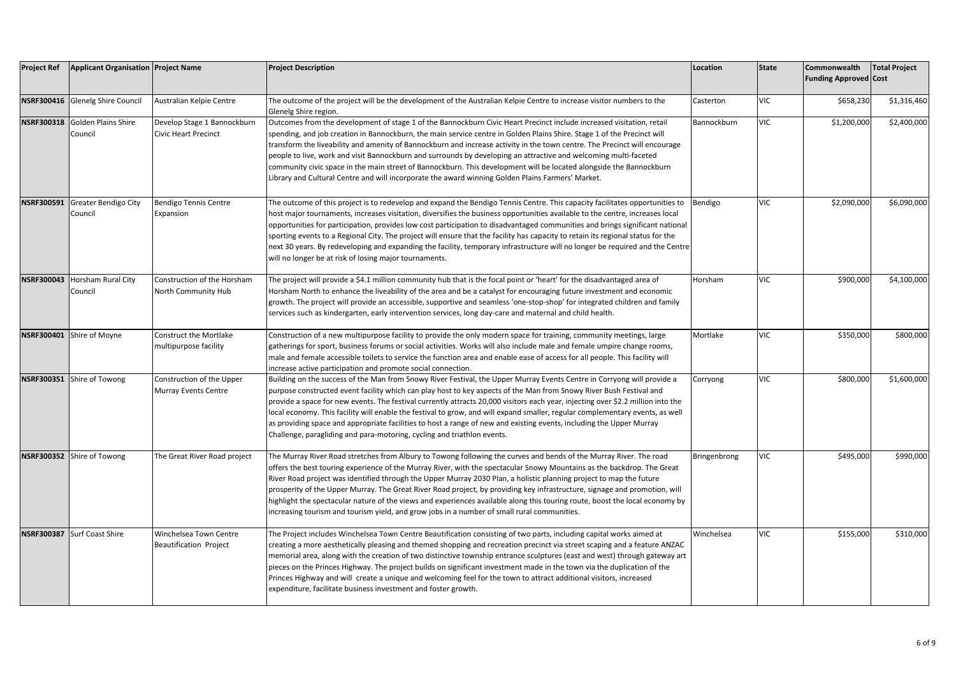| <b>Project Ref</b> | <b>Applicant Organisation Project Name</b> |                                                            | <b>Project Description</b>                                                                                                                                                                                                                                                                                                                                                                                                                                                                                                                                                                                                                                                                                                        | Location     | <b>State</b> | Commonwealth<br><b>Funding Approved Cost</b> | <b>Total Project</b> |
|--------------------|--------------------------------------------|------------------------------------------------------------|-----------------------------------------------------------------------------------------------------------------------------------------------------------------------------------------------------------------------------------------------------------------------------------------------------------------------------------------------------------------------------------------------------------------------------------------------------------------------------------------------------------------------------------------------------------------------------------------------------------------------------------------------------------------------------------------------------------------------------------|--------------|--------------|----------------------------------------------|----------------------|
|                    | NSRF300416 Glenelg Shire Council           | Australian Kelpie Centre                                   | The outcome of the project will be the development of the Australian Kelpie Centre to increase visitor numbers to the<br>Glenelg Shire region.                                                                                                                                                                                                                                                                                                                                                                                                                                                                                                                                                                                    | Casterton    | VIC          | \$658,230                                    | \$1,316,460          |
| <b>NSRF300318</b>  | Golden Plains Shire<br>Council             | Develop Stage 1 Bannockburn<br><b>Civic Heart Precinct</b> | Outcomes from the development of stage 1 of the Bannockburn Civic Heart Precinct include increased visitation, retail<br>spending, and job creation in Bannockburn, the main service centre in Golden Plains Shire. Stage 1 of the Precinct will<br>transform the liveability and amenity of Bannockburn and increase activity in the town centre. The Precinct will encourage<br>people to live, work and visit Bannockburn and surrounds by developing an attractive and welcoming multi-faceted<br>community civic space in the main street of Bannockburn. This development will be located alongside the Bannockburn<br>Library and Cultural Centre and will incorporate the award winning Golden Plains Farmers' Market.    | Bannockburn  | <b>VIC</b>   | \$1,200,000                                  | \$2,400,000          |
|                    | NSRF300591 Greater Bendigo City<br>Council | Bendigo Tennis Centre<br>Expansion                         | The outcome of this project is to redevelop and expand the Bendigo Tennis Centre. This capacity facilitates opportunities to<br>host major tournaments, increases visitation, diversifies the business opportunities available to the centre, increases local<br>opportunities for participation, provides low cost participation to disadvantaged communities and brings significant national<br>sporting events to a Regional City. The project will ensure that the facility has capacity to retain its regional status for the<br>next 30 years. By redeveloping and expanding the facility, temporary infrastructure will no longer be required and the Centre<br>will no longer be at risk of losing major tournaments.     | Bendigo      | <b>VIC</b>   | \$2,090,000                                  | \$6,090,000          |
|                    | NSRF300043 Horsham Rural City<br>Council   | Construction of the Horsham<br>North Community Hub         | The project will provide a \$4.1 million community hub that is the focal point or 'heart' for the disadvantaged area of<br>Horsham North to enhance the liveability of the area and be a catalyst for encouraging future investment and economic<br>growth. The project will provide an accessible, supportive and seamless 'one-stop-shop' for integrated children and family<br>services such as kindergarten, early intervention services, long day-care and maternal and child health.                                                                                                                                                                                                                                        | Horsham      | <b>VIC</b>   | \$900,000                                    | \$4,100,000          |
|                    | NSRF300401 Shire of Moyne                  | <b>Construct the Mortlake</b><br>multipurpose facility     | Construction of a new multipurpose facility to provide the only modern space for training, community meetings, large<br>gatherings for sport, business forums or social activities. Works will also include male and female umpire change rooms,<br>male and female accessible toilets to service the function area and enable ease of access for all people. This facility will<br>increase active participation and promote social connection.                                                                                                                                                                                                                                                                                  | Mortlake     | <b>VIC</b>   | \$350,000                                    | \$800,000            |
|                    | NSRF300351 Shire of Towong                 | Construction of the Upper<br><b>Murray Events Centre</b>   | Building on the success of the Man from Snowy River Festival, the Upper Murray Events Centre in Corryong will provide a<br>purpose constructed event facility which can play host to key aspects of the Man from Snowy River Bush Festival and<br>provide a space for new events. The festival currently attracts 20,000 visitors each year, injecting over \$2.2 million into the<br>local economy. This facility will enable the festival to grow, and will expand smaller, regular complementary events, as well<br>as providing space and appropriate facilities to host a range of new and existing events, including the Upper Murray<br>Challenge, paragliding and para-motoring, cycling and triathlon events.            | Corryong     | <b>VIC</b>   | \$800,000                                    | \$1,600,000          |
|                    | NSRF300352 Shire of Towong                 | The Great River Road project                               | The Murray River Road stretches from Albury to Towong following the curves and bends of the Murray River. The road<br>offers the best touring experience of the Murray River, with the spectacular Snowy Mountains as the backdrop. The Great<br>River Road project was identified through the Upper Murray 2030 Plan, a holistic planning project to map the future<br>prosperity of the Upper Murray. The Great River Road project, by providing key infrastructure, signage and promotion, will<br>highlight the spectacular nature of the views and experiences available along this touring route, boost the local economy by<br>increasing tourism and tourism yield, and grow jobs in a number of small rural communities. | Bringenbrong | <b>VIC</b>   | \$495,000                                    | \$990,000            |
|                    | NSRF300387 Surf Coast Shire                | Winchelsea Town Centre<br><b>Beautification Project</b>    | The Project includes Winchelsea Town Centre Beautification consisting of two parts, including capital works aimed at<br>creating a more aesthetically pleasing and themed shopping and recreation precinct via street scaping and a feature ANZAC<br>memorial area, along with the creation of two distinctive township entrance sculptures (east and west) through gateway art<br>pieces on the Princes Highway. The project builds on significant investment made in the town via the duplication of the<br>Princes Highway and will create a unique and welcoming feel for the town to attract additional visitors, increased<br>expenditure, facilitate business investment and foster growth.                                | Winchelsea   | <b>VIC</b>   | \$155,000                                    | \$310,000            |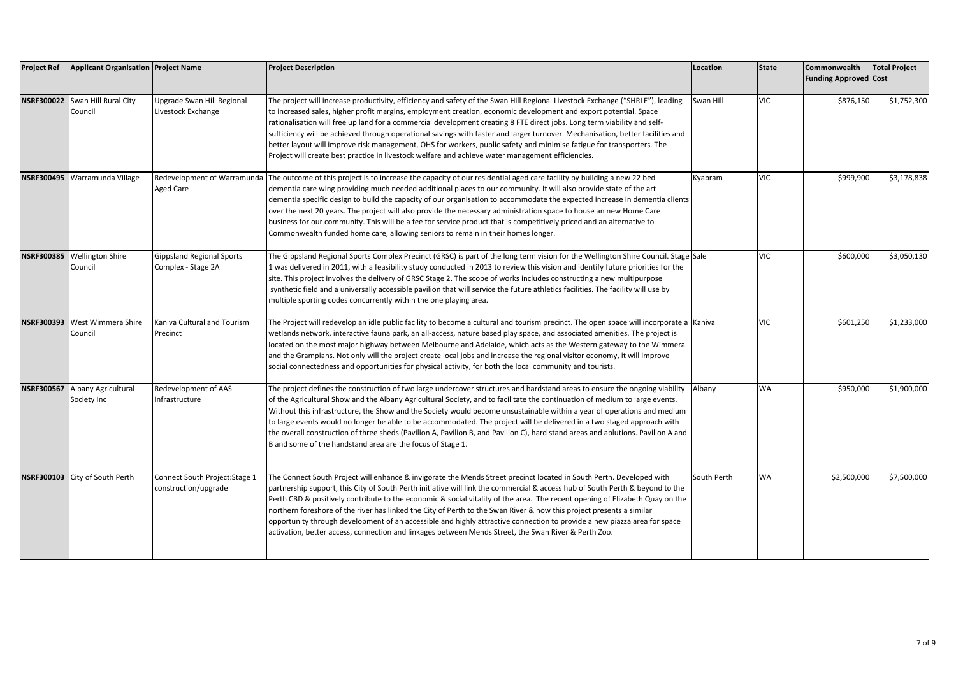| <b>Project Ref</b> | <b>Applicant Organisation Project Name</b>    |                                                        | <b>Project Description</b>                                                                                                                                                                                                                                                                                                                                                                                                                                                                                                                                                                                                                                                                                                                        | Location    | <b>State</b> | Commonwealth<br><b>Funding Approved Cost</b> | <b>Total Project</b> |
|--------------------|-----------------------------------------------|--------------------------------------------------------|---------------------------------------------------------------------------------------------------------------------------------------------------------------------------------------------------------------------------------------------------------------------------------------------------------------------------------------------------------------------------------------------------------------------------------------------------------------------------------------------------------------------------------------------------------------------------------------------------------------------------------------------------------------------------------------------------------------------------------------------------|-------------|--------------|----------------------------------------------|----------------------|
|                    | NSRF300022 Swan Hill Rural City<br>Council    | Upgrade Swan Hill Regional<br>Livestock Exchange       | The project will increase productivity, efficiency and safety of the Swan Hill Regional Livestock Exchange ("SHRLE"), leading<br>to increased sales, higher profit margins, employment creation, economic development and export potential. Space<br>rationalisation will free up land for a commercial development creating 8 FTE direct jobs. Long term viability and self-<br>sufficiency will be achieved through operational savings with faster and larger turnover. Mechanisation, better facilities and<br>better layout will improve risk management, OHS for workers, public safety and minimise fatigue for transporters. The<br>Project will create best practice in livestock welfare and achieve water management efficiencies.     | Swan Hill   | <b>VIC</b>   | \$876,150                                    | \$1,752,300          |
|                    | NSRF300495 Warramunda Village                 | Redevelopment of Warramunda<br><b>Aged Care</b>        | The outcome of this project is to increase the capacity of our residential aged care facility by building a new 22 bed<br>dementia care wing providing much needed additional places to our community. It will also provide state of the art<br>dementia specific design to build the capacity of our organisation to accommodate the expected increase in dementia clients<br>over the next 20 years. The project will also provide the necessary administration space to house an new Home Care<br>business for our community. This will be a fee for service product that is competitively priced and an alternative to<br>Commonwealth funded home care, allowing seniors to remain in their homes longer.                                    | Kyabram     | <b>VIC</b>   | \$999,900                                    | \$3,178,838          |
|                    | NSRF300385 Wellington Shire<br>Council        | <b>Gippsland Regional Sports</b><br>Complex - Stage 2A | The Gippsland Regional Sports Complex Precinct (GRSC) is part of the long term vision for the Wellington Shire Council. Stage Sale<br>1 was delivered in 2011, with a feasibility study conducted in 2013 to review this vision and identify future priorities for the<br>site. This project involves the delivery of GRSC Stage 2. The scope of works includes constructing a new multipurpose<br>synthetic field and a universally accessible pavilion that will service the future athletics facilities. The facility will use by<br>multiple sporting codes concurrently within the one playing area.                                                                                                                                         |             | <b>VIC</b>   | \$600,000                                    | \$3,050,130          |
|                    | NSRF300393 West Wimmera Shire<br>Council      | Kaniva Cultural and Tourism<br>Precinct                | The Project will redevelop an idle public facility to become a cultural and tourism precinct. The open space will incorporate a Kaniva<br>wetlands network, interactive fauna park, an all-access, nature based play space, and associated amenities. The project is<br>located on the most major highway between Melbourne and Adelaide, which acts as the Western gateway to the Wimmera<br>and the Grampians. Not only will the project create local jobs and increase the regional visitor economy, it will improve<br>social connectedness and opportunities for physical activity, for both the local community and tourists.                                                                                                               |             | <b>VIC</b>   | \$601,250                                    | \$1,233,000          |
|                    | NSRF300567 Albany Agricultural<br>Society Inc | Redevelopment of AAS<br>Infrastructure                 | The project defines the construction of two large undercover structures and hardstand areas to ensure the ongoing viability<br>of the Agricultural Show and the Albany Agricultural Society, and to facilitate the continuation of medium to large events.<br>Without this infrastructure, the Show and the Society would become unsustainable within a year of operations and medium<br>to large events would no longer be able to be accommodated. The project will be delivered in a two staged approach with<br>the overall construction of three sheds (Pavilion A, Pavilion B, and Pavilion C), hard stand areas and ablutions. Pavilion A and<br>B and some of the handstand area are the focus of Stage 1.                                | Albany      | WA           | \$950,000                                    | \$1,900,000          |
|                    | NSRF300103 City of South Perth                | Connect South Project: Stage 1<br>construction/upgrade | The Connect South Project will enhance & invigorate the Mends Street precinct located in South Perth. Developed with<br>partnership support, this City of South Perth initiative will link the commercial & access hub of South Perth & beyond to the<br>Perth CBD & positively contribute to the economic & social vitality of the area. The recent opening of Elizabeth Quay on the<br>northern foreshore of the river has linked the City of Perth to the Swan River & now this project presents a similar<br>opportunity through development of an accessible and highly attractive connection to provide a new piazza area for space<br>activation, better access, connection and linkages between Mends Street, the Swan River & Perth Zoo. | South Perth | <b>WA</b>    | \$2,500,000                                  | \$7,500,000          |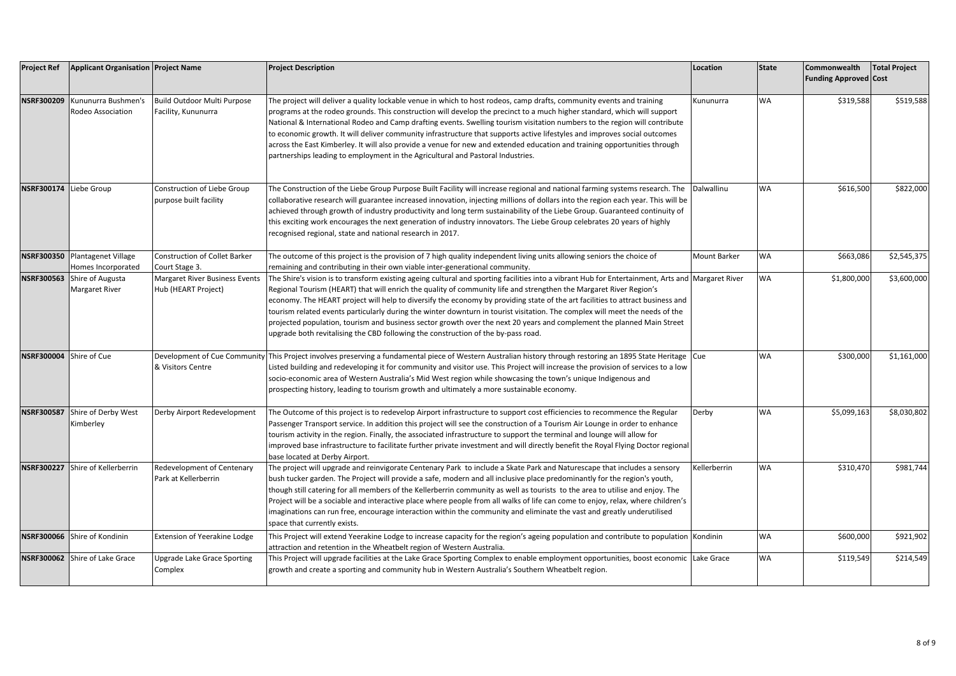| <b>Project Ref</b>      | <b>Applicant Organisation Project Name</b>           |                                                              | <b>Project Description</b>                                                                                                                                                                                                                                                                                                                                                                                                                                                                                                                                                                                                                                                                                                                               | Location     | <b>State</b> | <b>Commonwealth</b><br><b>Funding Approved Cost</b> | <b>Total Project</b> |
|-------------------------|------------------------------------------------------|--------------------------------------------------------------|----------------------------------------------------------------------------------------------------------------------------------------------------------------------------------------------------------------------------------------------------------------------------------------------------------------------------------------------------------------------------------------------------------------------------------------------------------------------------------------------------------------------------------------------------------------------------------------------------------------------------------------------------------------------------------------------------------------------------------------------------------|--------------|--------------|-----------------------------------------------------|----------------------|
| <b>NSRF300209</b>       | Kununurra Bushmen's<br>Rodeo Association             | Build Outdoor Multi Purpose<br>Facility, Kununurra           | The project will deliver a quality lockable venue in which to host rodeos, camp drafts, community events and training<br>programs at the rodeo grounds. This construction will develop the precinct to a much higher standard, which will support<br>National & International Rodeo and Camp drafting events. Swelling tourism visitation numbers to the region will contribute<br>to economic growth. It will deliver community infrastructure that supports active lifestyles and improves social outcomes<br>across the East Kimberley. It will also provide a venue for new and extended education and training opportunities through<br>partnerships leading to employment in the Agricultural and Pastoral Industries.                             | Kununurra    | <b>WA</b>    | \$319,588                                           | \$519,588            |
| NSRF300174 Liebe Group  |                                                      | Construction of Liebe Group<br>purpose built facility        | The Construction of the Liebe Group Purpose Built Facility will increase regional and national farming systems research. The<br>collaborative research will guarantee increased innovation, injecting millions of dollars into the region each year. This will be<br>achieved through growth of industry productivity and long term sustainability of the Liebe Group. Guaranteed continuity of<br>this exciting work encourages the next generation of industry innovators. The Liebe Group celebrates 20 years of highly<br>ecognised regional, state and national research in 2017.                                                                                                                                                                   | Dalwallinu   | <b>WA</b>    | \$616,500                                           | \$822,000            |
|                         | NSRF300350 Plantagenet Village<br>Homes Incorporated | <b>Construction of Collet Barker</b><br>Court Stage 3.       | The outcome of this project is the provision of 7 high quality independent living units allowing seniors the choice of<br>remaining and contributing in their own viable inter-generational community.                                                                                                                                                                                                                                                                                                                                                                                                                                                                                                                                                   | Mount Barker | <b>WA</b>    | \$663,086                                           | \$2,545,375          |
|                         | NSRF300563 Shire of Augusta<br><b>Margaret River</b> | <b>Margaret River Business Events</b><br>Hub (HEART Project) | The Shire's vision is to transform existing ageing cultural and sporting facilities into a vibrant Hub for Entertainment, Arts and Margaret River<br>Regional Tourism (HEART) that will enrich the quality of community life and strengthen the Margaret River Region's<br>economy. The HEART project will help to diversify the economy by providing state of the art facilities to attract business and<br>tourism related events particularly during the winter downturn in tourist visitation. The complex will meet the needs of the<br>projected population, tourism and business sector growth over the next 20 years and complement the planned Main Street<br>upgrade both revitalising the CBD following the construction of the by-pass road. |              | <b>WA</b>    | \$1,800,000                                         | \$3,600,000          |
| NSRF300004 Shire of Cue |                                                      | & Visitors Centre                                            | Development of Cue Community This Project involves preserving a fundamental piece of Western Australian history through restoring an 1895 State Heritage Cue<br>Listed building and redeveloping it for community and visitor use. This Project will increase the provision of services to a low<br>socio-economic area of Western Australia's Mid West region while showcasing the town's unique Indigenous and<br>prospecting history, leading to tourism growth and ultimately a more sustainable economy.                                                                                                                                                                                                                                            |              | <b>WA</b>    | \$300,000                                           | \$1,161,000          |
|                         | NSRF300587 Shire of Derby West<br>Kimberley          | Derby Airport Redevelopment                                  | The Outcome of this project is to redevelop Airport infrastructure to support cost efficiencies to recommence the Regular<br>Passenger Transport service. In addition this project will see the construction of a Tourism Air Lounge in order to enhance<br>tourism activity in the region. Finally, the associated infrastructure to support the terminal and lounge will allow for<br>mproved base infrastructure to facilitate further private investment and will directly benefit the Royal Flying Doctor regional<br>base located at Derby Airport.                                                                                                                                                                                                | Derby        | <b>WA</b>    | \$5,099,163                                         | \$8,030,802          |
|                         | NSRF300227 Shire of Kellerberrin                     | Redevelopment of Centenary<br>Park at Kellerberrin           | The project will upgrade and reinvigorate Centenary Park to include a Skate Park and Naturescape that includes a sensory<br>bush tucker garden. The Project will provide a safe, modern and all inclusive place predominantly for the region's youth,<br>though still catering for all members of the Kellerberrin community as well as tourists to the area to utilise and enjoy. The<br>Project will be a sociable and interactive place where people from all walks of life can come to enjoy, relax, where children's<br>maginations can run free, encourage interaction within the community and eliminate the vast and greatly underutilised<br>space that currently exists.                                                                       | Kellerberrin | <b>WA</b>    | \$310,470                                           | \$981,744            |
|                         | NSRF300066 Shire of Kondinin                         | Extension of Yeerakine Lodge                                 | This Project will extend Yeerakine Lodge to increase capacity for the region's ageing population and contribute to population Kondinin<br>attraction and retention in the Wheatbelt region of Western Australia.                                                                                                                                                                                                                                                                                                                                                                                                                                                                                                                                         |              | <b>WA</b>    | \$600,000                                           | \$921,902            |
|                         | NSRF300062 Shire of Lake Grace                       | Upgrade Lake Grace Sporting<br>Complex                       | This Project will upgrade facilities at the Lake Grace Sporting Complex to enable employment opportunities, boost economic  Lake Grace<br>growth and create a sporting and community hub in Western Australia's Southern Wheatbelt region.                                                                                                                                                                                                                                                                                                                                                                                                                                                                                                               |              | <b>WA</b>    | \$119,549                                           | \$214,549            |